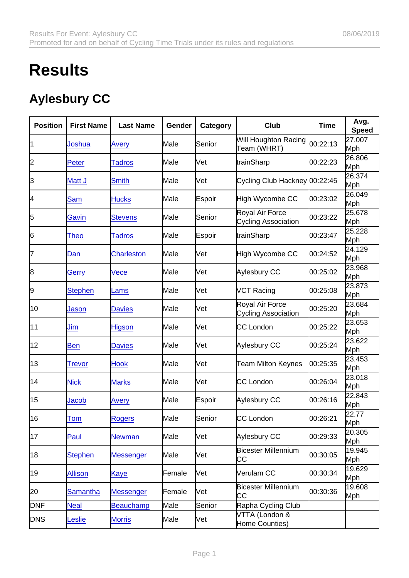## **Results**

## Aylesbury CC

| Position   | <b>First Name</b> | Last Name         | Gender | Category | Club                                          | Time     | Avg.<br>Speed |
|------------|-------------------|-------------------|--------|----------|-----------------------------------------------|----------|---------------|
| 11         | Joshua            | <b>Avery</b>      | Male   | Senior   | Will Houghton Racing<br>Team (WHRT)           | 00:22:13 | 27.007<br>Mph |
| 2          | Peter             | <b>Tadros</b>     | Male   | Vet      | trainSharp                                    | 00:22:23 | 26.806<br>Mph |
| 3          | Matt J            | <b>Smith</b>      | Male   | Vet      | Cycling Club Hackney 00:22:45                 |          | 26.374<br>Mph |
| 4          | <b>Sam</b>        | <b>Hucks</b>      | Male   | Espoir   | High Wycombe CC                               | 00:23:02 | 26.049<br>Mph |
| 5          | Gavin             | <b>Stevens</b>    | Male   | Senior   | Royal Air Force<br><b>Cycling Association</b> | 00:23:22 | 25.678<br>Mph |
| 6          | Theo              | <b>Tadros</b>     | Male   | Espoir   | trainSharp                                    | 00:23:47 | 25.228<br>Mph |
| 7          | Dan               | <b>Charleston</b> | Male   | Vet      | High Wycombe CC                               | 00:24:52 | 24.129<br>Mph |
| 8          | Gerry             | <b>Vece</b>       | Male   | Vet      | Aylesbury CC                                  | 00:25:02 | 23.968<br>Mph |
| 9          | <b>Stephen</b>    | Lams              | Male   | Vet      | VCT Racing                                    | 00:25:08 | 23.873<br>Mph |
| 10         | Jason             | <b>Davies</b>     | Male   | Vet      | Royal Air Force<br><b>Cycling Association</b> | 00:25:20 | 23.684<br>Mph |
| 11         | Jim               | <b>Higson</b>     | Male   | Vet      | CC London                                     | 00:25:22 | 23.653<br>Mph |
| 12         | <b>Ben</b>        | <b>Davies</b>     | Male   | Vet      | Aylesbury CC                                  | 00:25:24 | 23.622<br>Mph |
| 13         | <b>Trevor</b>     | <b>Hook</b>       | Male   | Vet      | <b>Team Milton Keynes</b>                     | 00:25:35 | 23.453<br>Mph |
| 14         | <b>Nick</b>       | <b>Marks</b>      | Male   | Vet      | CC London                                     | 00:26:04 | 23.018<br>Mph |
| 15         | Jacob             | <b>Avery</b>      | Male   | Espoir   | Aylesbury CC                                  | 00:26:16 | 22.843<br>Mph |
| 16         | Tom               | Rogers            | Male   | Senior   | CC London                                     | 00:26:21 | 22.77<br>Mph  |
| 17         | Paul              | <b>Newman</b>     | Male   | Vet      | Aylesbury CC                                  | 00:29:33 | 20.305<br>Mph |
| 18         | <b>Stephen</b>    | <b>Messenger</b>  | Male   | Vet      | Bicester Millennium<br>CС                     | 00:30:05 | 19.945<br>Mph |
| 19         | <b>Allison</b>    | <b>Kaye</b>       | Female | Vet      | Verulam CC                                    | 00:30:34 | 19.629<br>Mph |
| 20         | <b>Samantha</b>   | Messenger         | Female | Vet      | <b>Bicester Millennium</b><br>IСС             | 00:30:36 | 19.608<br>Mph |
| <b>DNF</b> | <b>Neal</b>       | <b>Beauchamp</b>  | Male   | Senior   | Rapha Cycling Club                            |          |               |
| <b>DNS</b> | eslie             | <b>Morris</b>     | Male   | Vet      | VTTA (London &<br>Home Counties)              |          |               |